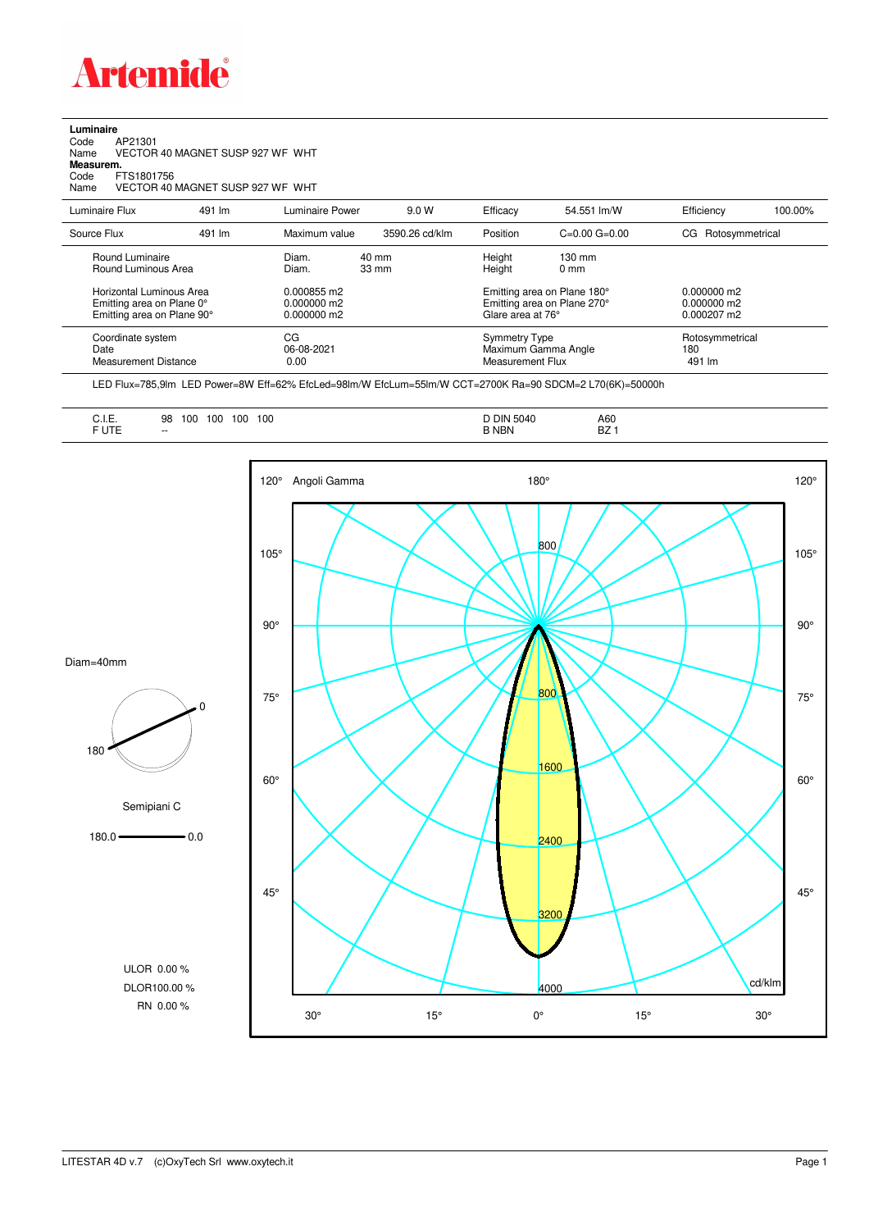

| Luminaire |                                  |  |
|-----------|----------------------------------|--|
| Code      | AP21301                          |  |
| Name      | VECTOR 40 MAGNET SUSP 927 WF WHT |  |

**Measurem.**

Code FTS1801756<br>Name VECTOR 40 VECTOR 40 MAGNET SUSP 927 WF WHT

| Luminaire Flux                                                                                                                | 491 lm | Luminaire Power                                                 | 9.0 W                              | Efficacy                                 | 54.551 lm/W                                                                                      | Efficiency                                             | 100.00% |
|-------------------------------------------------------------------------------------------------------------------------------|--------|-----------------------------------------------------------------|------------------------------------|------------------------------------------|--------------------------------------------------------------------------------------------------|--------------------------------------------------------|---------|
| Source Flux                                                                                                                   | 491 lm | Maximum value                                                   | 3590.26 cd/klm                     | Position                                 | $C=0.00$ $G=0.00$                                                                                | Rotosymmetrical<br>CG.                                 |         |
| Round Luminaire<br>Round Luminous Area<br>Horizontal Luminous Area<br>Emitting area on Plane 0°<br>Emitting area on Plane 90° |        | Diam.<br>Diam.<br>0.000855 m2<br>$0.000000$ m2<br>$0.000000$ m2 | $40 \text{ mm}$<br>$33 \text{ mm}$ | Height<br>Height<br>Glare area at 76°    | $130 \text{ mm}$<br>$0 \text{ mm}$<br>Emitting area on Plane 180°<br>Emitting area on Plane 270° | $0.000000$ m2<br>$0.000000$ m2<br>$0.000207 \text{ m}$ |         |
| CG<br>Coordinate system<br>Date<br>06-08-2021<br><b>Measurement Distance</b><br>0.00                                          |        |                                                                 |                                    | <b>Symmetry Type</b><br>Measurement Flux | Maximum Gamma Angle                                                                              | Rotosymmetrical<br>180<br>491 lm                       |         |

LED Flux=785,9lm LED Power=8W Eff=62% EfcLed=98lm/W EfcLum=55lm/W CCT=2700K Ra=90 SDCM=2 L70(6K)=50000h